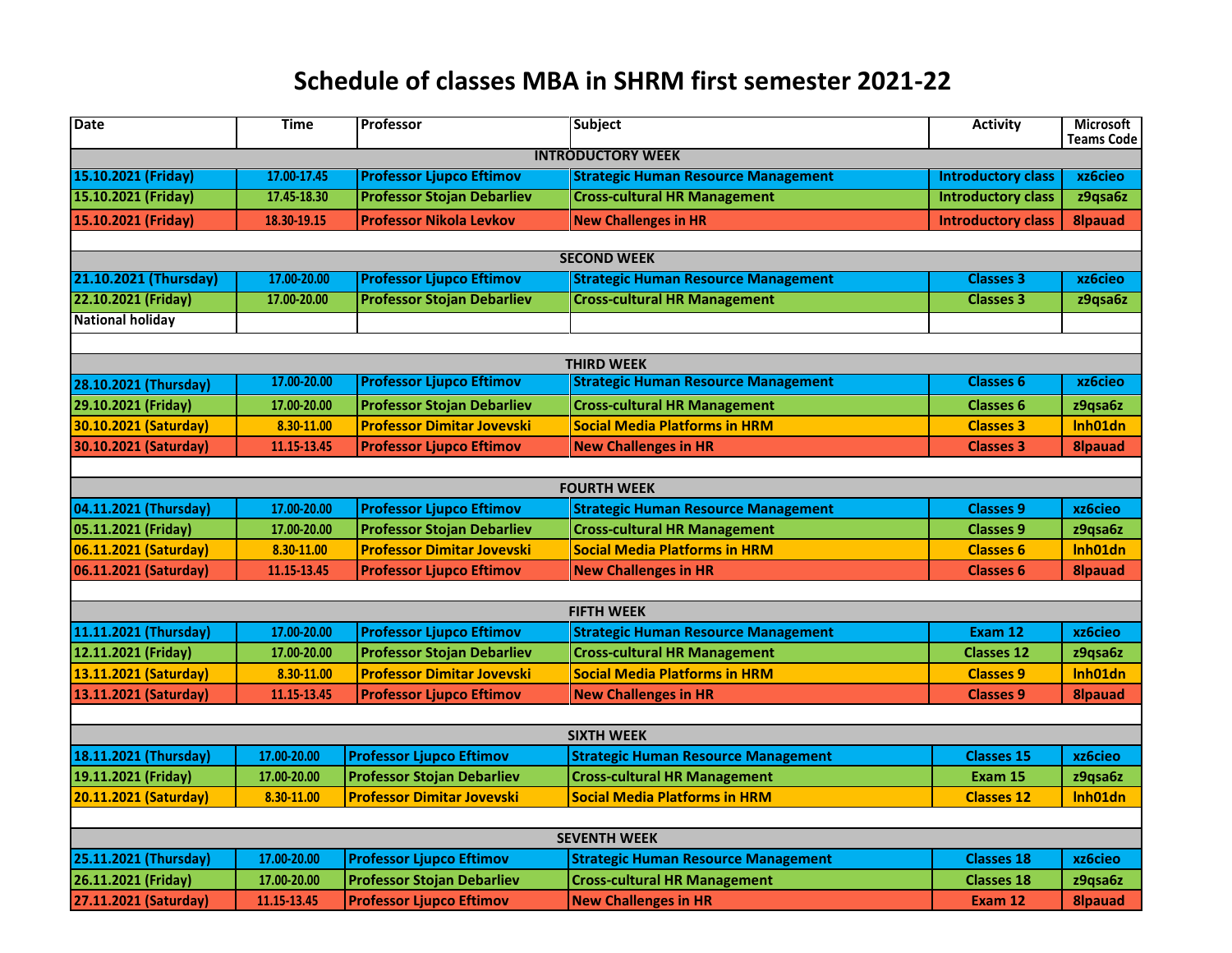## **Schedule of classes MBA in SHRM first semester 2021-22**

| <b>Date</b>              | <b>Time</b> | Professor                                                              | <b>Subject</b>                                                              | <b>Activity</b>           | <b>Microsoft</b><br><b>Teams Code</b> |  |  |
|--------------------------|-------------|------------------------------------------------------------------------|-----------------------------------------------------------------------------|---------------------------|---------------------------------------|--|--|
| <b>INTRODUCTORY WEEK</b> |             |                                                                        |                                                                             |                           |                                       |  |  |
| 15.10.2021 (Friday)      | 17.00-17.45 | <b>Professor Ljupco Eftimov</b>                                        | <b>Strategic Human Resource Management</b>                                  | <b>Introductory class</b> | xz6cieo                               |  |  |
| 15.10.2021 (Friday)      | 17.45-18.30 | <b>Professor Stojan Debarliev</b>                                      | <b>Cross-cultural HR Management</b>                                         | <b>Introductory class</b> | z9qsa6z                               |  |  |
| 15.10.2021 (Friday)      | 18.30-19.15 | <b>Professor Nikola Levkov</b>                                         | <b>New Challenges in HR</b>                                                 | <b>Introductory class</b> | <b>8lpauad</b>                        |  |  |
|                          |             |                                                                        |                                                                             |                           |                                       |  |  |
|                          |             |                                                                        | <b>SECOND WEEK</b>                                                          |                           |                                       |  |  |
| 21.10.2021 (Thursday)    | 17.00-20.00 | <b>Professor Ljupco Eftimov</b>                                        | <b>Strategic Human Resource Management</b>                                  | <b>Classes 3</b>          | xz6cieo                               |  |  |
| 22.10.2021 (Friday)      | 17.00-20.00 | <b>Professor Stojan Debarliev</b>                                      | <b>Cross-cultural HR Management</b>                                         | <b>Classes 3</b>          | z9qsa6z                               |  |  |
| <b>National holiday</b>  |             |                                                                        |                                                                             |                           |                                       |  |  |
|                          |             |                                                                        |                                                                             |                           |                                       |  |  |
|                          | 17.00-20.00 | <b>Professor Ljupco Eftimov</b>                                        | <b>THIRD WEEK</b><br><b>Strategic Human Resource Management</b>             | <b>Classes 6</b>          | xz6cieo                               |  |  |
| 28.10.2021 (Thursday)    |             |                                                                        |                                                                             |                           |                                       |  |  |
| 29.10.2021 (Friday)      | 17.00-20.00 | <b>Professor Stojan Debarliev</b><br><b>Professor Dimitar Jovevski</b> | <b>Cross-cultural HR Management</b><br><b>Social Media Platforms in HRM</b> | <b>Classes 6</b>          | z9qsa6z                               |  |  |
| 30.10.2021 (Saturday)    | 8.30-11.00  |                                                                        |                                                                             | <b>Classes 3</b>          | Inh01dn                               |  |  |
| 30.10.2021 (Saturday)    | 11.15-13.45 | <b>Professor Ljupco Eftimov</b>                                        | <b>New Challenges in HR</b>                                                 | <b>Classes 3</b>          | <b>8Ipauad</b>                        |  |  |
|                          |             |                                                                        | <b>FOURTH WEEK</b>                                                          |                           |                                       |  |  |
| 04.11.2021 (Thursday)    | 17.00-20.00 | <b>Professor Ljupco Eftimov</b>                                        | <b>Strategic Human Resource Management</b>                                  | <b>Classes 9</b>          | xz6cieo                               |  |  |
| 05.11.2021 (Friday)      | 17.00-20.00 | <b>Professor Stojan Debarliev</b>                                      | <b>Cross-cultural HR Management</b>                                         | <b>Classes 9</b>          | z9qsa6z                               |  |  |
| 06.11.2021 (Saturday)    | 8.30-11.00  | <b>Professor Dimitar Jovevski</b>                                      | <b>Social Media Platforms in HRM</b>                                        | <b>Classes 6</b>          | Inh01dn                               |  |  |
| 06.11.2021 (Saturday)    | 11.15-13.45 | <b>Professor Ljupco Eftimov</b>                                        | <b>New Challenges in HR</b>                                                 | <b>Classes 6</b>          | <b>8lpauad</b>                        |  |  |
|                          |             |                                                                        |                                                                             |                           |                                       |  |  |
|                          |             |                                                                        | <b>FIFTH WEEK</b>                                                           |                           |                                       |  |  |
| 11.11.2021 (Thursday)    | 17.00-20.00 | <b>Professor Ljupco Eftimov</b>                                        | <b>Strategic Human Resource Management</b>                                  | Exam 12                   | xz6cieo                               |  |  |
| 12.11.2021 (Friday)      | 17.00-20.00 | <b>Professor Stojan Debarliev</b>                                      | <b>Cross-cultural HR Management</b>                                         | <b>Classes 12</b>         | z9qsa6z                               |  |  |
| 13.11.2021 (Saturday)    | 8.30-11.00  | <b>Professor Dimitar Jovevski</b>                                      | <b>Social Media Platforms in HRM</b>                                        | <b>Classes 9</b>          | Inh01dn                               |  |  |
| 13.11.2021 (Saturday)    | 11.15-13.45 | <b>Professor Ljupco Eftimov</b>                                        | <b>New Challenges in HR</b>                                                 | <b>Classes 9</b>          | <b>8lpauad</b>                        |  |  |
|                          |             |                                                                        |                                                                             |                           |                                       |  |  |
|                          |             |                                                                        | <b>SIXTH WEEK</b>                                                           |                           |                                       |  |  |
| 18.11.2021 (Thursday)    | 17.00-20.00 | <b>Professor Ljupco Eftimov</b>                                        | <b>Strategic Human Resource Management</b>                                  | <b>Classes 15</b>         | xz6cieo                               |  |  |
| 19.11.2021 (Friday)      | 17.00-20.00 | <b>Professor Stojan Debarliev</b>                                      | <b>Cross-cultural HR Management</b>                                         | Exam 15                   | z9qsa6z                               |  |  |
| 20.11.2021 (Saturday)    | 8.30-11.00  | <b>Professor Dimitar Jovevski</b>                                      | <b>Social Media Platforms in HRM</b>                                        | <b>Classes 12</b>         | Inh01dn                               |  |  |
|                          |             |                                                                        |                                                                             |                           |                                       |  |  |
| <b>SEVENTH WEEK</b>      |             |                                                                        |                                                                             |                           |                                       |  |  |
| 25.11.2021 (Thursday)    | 17.00-20.00 | <b>Professor Ljupco Eftimov</b>                                        | <b>Strategic Human Resource Management</b>                                  | <b>Classes 18</b>         | xz6cieo                               |  |  |
| 26.11.2021 (Friday)      | 17.00-20.00 | <b>Professor Stojan Debarliev</b>                                      | <b>Cross-cultural HR Management</b>                                         | <b>Classes 18</b>         | z9qsa6z                               |  |  |
| 27.11.2021 (Saturday)    | 11.15-13.45 | <b>Professor Ljupco Eftimov</b>                                        | <b>New Challenges in HR</b>                                                 | Exam 12                   | <b>8Ipauad</b>                        |  |  |